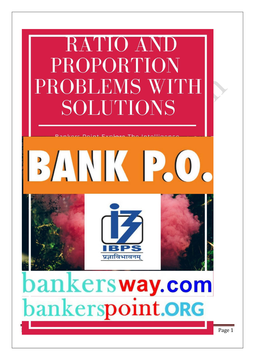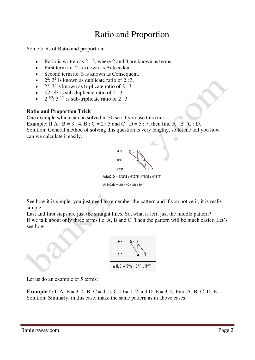# Ratio and Proportion

Some facts of Ratio and proportion:

- Ratio is written as 2 : 3, where 2 and 3 are known as terms.
- First term i.e. 2 is known as Antecedent.
- Second term *i.e.* 3 is known as Consequent.
- $2^2$ :  $3^2$  is known as duplicate ratio of 2 : 3.
- $\bullet$   $2^3$ :  $3^3$  is known as triplicate ratio of 2 : 3.
- $\sqrt{2}$ :  $\sqrt{3}$  is sub-duplicate ratio of 2 : 3.
- $2^{1/3}$ :  $3^{1/3}$  is sub-triplicate ratio of  $2:3$ .

# **Ratio and Proportion Trick**

One example which can be solved in 30 sec if you use this trick

Example: If  $A : B = 3 : 4$ ,  $B : C = 2 : 3$  and  $C : D = 5 : 7$ , then find  $A : B : C : D$ . Solution: General method of solving this question is very lengthy, so let me tell you how can we calculate it easily.



See how it is simple, you just need to remember the pattern and if you notice it, it is really simple

Last and first steps are just the straight lines. So, what is left, just the middle pattern? If we talk about only three terms i.e. A, B and C. Then the pattern will be much easier. Let's see how,



Let us do an example of 5 terms:

**Example 1:** If A:  $B = 3$ : 4,  $B$ :  $C = 4$ : 5,  $C$ :  $D = 1$ : 2 and  $D$ :  $E = 3$ : 4, Find A: B: C: D: E. Solution: Similarly, in this case, make the same pattern as in above cases:

Banlersway.com **Page 2**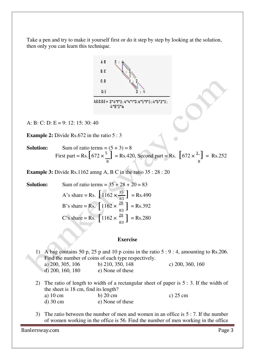Take a pen and try to make it yourself first or do it step by step by looking at the solution, then only you can learn this technique.



A: B: C: D: E = 9: 12: 15: 30: 40

**Example 2:** Divide Rs.672 in the ratio 5 : 3

**Solution:** Sum of ratio terms = 
$$
(5 + 3) = 8
$$
  
First part = Rs.  $\left[672 \times \frac{5}{8}\right]$  = Rs. 420, Second part = Rs.  $\left[672 \times \frac{3}{8}\right]$  = Rs. 252

**Example 3:** Divide Rs.1162 amng A, B C in the ratio 35 : 28 : 20

A's share = Rs.  $\left[1162 \times \frac{35}{83} \right]$  = Rs.490 B's share = Rs.  $\left[1162 \times \frac{28}{83} \right]$  = Rs.392 C's share = Rs.  $\left[ 1162 \times \frac{20}{83} \right]$  = Rs.280 **Solution:** Sum of ratio terms =  $35 + 28 + 20 = 83$ 

## **Exercise**

1) A bag contains 50 p, 25 p and 10 p coins in the ratio 5 : 9 : 4, amounting to Rs.206. Find the number of coins of each type respectively. a) 200, 305, 106 b) 210, 350, 148 c) 200, 360, 160 d) 200, 160, 180 e) None of these

- 2) The ratio of length to width of a rectangular sheet of paper is 5 : 3. If the width of the sheet is 18 cm, find its length? a) 10 cm b) 20 cm c) 25 cm d) 30 cm e) None of these
- 3) The ratio between the number of men and women in an office is  $5:7$ . If the number of women working in the office is 56. Find the number of men working in the office

Banlersway.com **Page 3**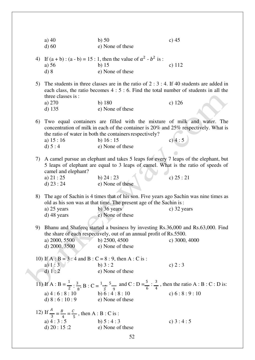|                                                                                                                                                                                                                                                           | a) $40$<br>$d$ ) 60                                                                                  | $b)$ 50<br>e) None of these                                                                                                                                                                                                                                    | c) $45$    |  |  |
|-----------------------------------------------------------------------------------------------------------------------------------------------------------------------------------------------------------------------------------------------------------|------------------------------------------------------------------------------------------------------|----------------------------------------------------------------------------------------------------------------------------------------------------------------------------------------------------------------------------------------------------------------|------------|--|--|
|                                                                                                                                                                                                                                                           | a) $56$<br>d) 8                                                                                      | 4) If $(a + b)$ : $(a - b) = 15$ : 1, then the value of $a^2 - b^2$ is:<br>$b)$ 15<br>e) None of these                                                                                                                                                         | c) $112$   |  |  |
| 5) The students in three classes are in the ratio of $2:3:4$ . If 40 students are added in<br>each class, the ratio becomes $4:5:6$ . Find the total number of students in all the<br>three classes is:                                                   |                                                                                                      |                                                                                                                                                                                                                                                                |            |  |  |
|                                                                                                                                                                                                                                                           | a) 270<br>$d)$ 135                                                                                   | $b)$ 180<br>e) None of these                                                                                                                                                                                                                                   | $c)$ 126   |  |  |
|                                                                                                                                                                                                                                                           | a) $15:16$<br>d) $5:4$                                                                               | 6) Two equal containers are filled with the mixture of milk and water. The<br>concentration of milk in each of the container is 20% and 25% respectively. What is<br>the ratio of water in both the containers respectively?<br>b) $16:15$<br>e) None of these | c) $4:5$   |  |  |
|                                                                                                                                                                                                                                                           | camel and elephant?<br>a) $21:25$<br>d) $23:24$                                                      | 7) A camel pursue an elephant and takes 5 leaps for every 7 leaps of the elephant, but<br>5 leaps of elephant are equal to 3 leaps of camel. What is the ratio of speeds of<br>b) $24:23$<br>e) None of these                                                  | c) $25:21$ |  |  |
| The age of Sachin is 4 times that of his son. Five years ago Sachin was nine times as<br>8)<br>old as his son was at that time. The present age of the Sachin is:<br>$b)$ 36 years<br>a) $25$ years<br>c) 32 years<br>e) None of these<br>$d)$ 48 years   |                                                                                                      |                                                                                                                                                                                                                                                                |            |  |  |
| 9) Bhanu and Shafeeq started a business by investing Rs.36,000 and Rs.63,000. Find<br>the share of each respectively, out of an annual profit of Rs.5500.<br>a) 2000, 5500<br>b) 2500, 4500<br>c) 3000, 4000<br>d) 2000, 3500<br>e) None of these         |                                                                                                      |                                                                                                                                                                                                                                                                |            |  |  |
|                                                                                                                                                                                                                                                           | 10) If A : B = 3 : 4 and B : C = 8 : 9, then A : C is :<br>a) $1:3$<br>d) 1:2                        | b) $3:2$<br>e) None of these                                                                                                                                                                                                                                   | c) $2:3$   |  |  |
| 11) If A : B = $\frac{1}{2}$ : $\frac{3}{8}$ , B : C = $\frac{1}{3}$ = $\frac{5}{9}$ and C : D = $\frac{5}{6}$ : $\frac{3}{4}$ , then the ratio A : B : C : D is:<br>c) $6:8:9:10$<br>a) $4:6:8:10$<br>b) $6:4:8:10$<br>d) $8:6:10:9$<br>e) None of these |                                                                                                      |                                                                                                                                                                                                                                                                |            |  |  |
|                                                                                                                                                                                                                                                           | 12) If $\frac{A}{3} = \frac{B}{4} = \frac{C}{5}$ , then A : B : C is :<br>a) $4:3:5$<br>d) $20:15:2$ | b) $5:4:3$<br>e) None of these                                                                                                                                                                                                                                 | c) $3:4:5$ |  |  |
| 52                                                                                                                                                                                                                                                        |                                                                                                      |                                                                                                                                                                                                                                                                |            |  |  |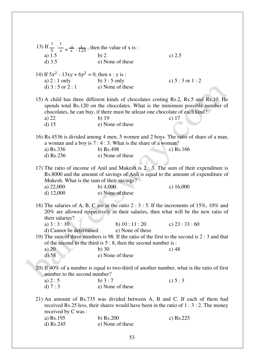|  | 13) If $\frac{1}{5}$ : $\frac{1}{x} = \frac{1}{x}$ : $\frac{1}{1.25}$ , then the value of x is :                                                                                           |                                                                                                                                                                                                                                                                                       |                   |  |  |  |  |
|--|--------------------------------------------------------------------------------------------------------------------------------------------------------------------------------------------|---------------------------------------------------------------------------------------------------------------------------------------------------------------------------------------------------------------------------------------------------------------------------------------|-------------------|--|--|--|--|
|  | a) $1.5$<br>$d)$ 3.5                                                                                                                                                                       | b) 2<br>e) None of these                                                                                                                                                                                                                                                              | c) $2.5$          |  |  |  |  |
|  |                                                                                                                                                                                            |                                                                                                                                                                                                                                                                                       |                   |  |  |  |  |
|  | 14) If $5x^2 - 13xy + 6y^2 = 0$ , then x : y is :                                                                                                                                          |                                                                                                                                                                                                                                                                                       |                   |  |  |  |  |
|  | a) $2:1$ only                                                                                                                                                                              | b) $3:5$ only                                                                                                                                                                                                                                                                         | c) $5:3$ or $1:2$ |  |  |  |  |
|  | d) $3:5$ or $2:1$                                                                                                                                                                          | e) None of these                                                                                                                                                                                                                                                                      |                   |  |  |  |  |
|  |                                                                                                                                                                                            |                                                                                                                                                                                                                                                                                       |                   |  |  |  |  |
|  | a) 22<br>$d)$ 15                                                                                                                                                                           | 15) A child has three different kinds of chocolates costing Rs.2, Rs.5 and Rs.10. He<br>spends total Rs.120 on the chocolates. What is the minimum possible number of<br>chocolates, he can buy, if there must be at least one chocolate of each kind?<br>$b)$ 19<br>e) None of these | c) $17$           |  |  |  |  |
|  | 16) Rs.4536 is divided among 4 men, 5 women and 2 boys. The ratio of share of a man,                                                                                                       |                                                                                                                                                                                                                                                                                       |                   |  |  |  |  |
|  |                                                                                                                                                                                            | a woman and a boy is $7:4:3$ . What is the share of a woman?                                                                                                                                                                                                                          |                   |  |  |  |  |
|  | a) Rs.336                                                                                                                                                                                  | b) $Rs.498$                                                                                                                                                                                                                                                                           | c) $Rs.166$       |  |  |  |  |
|  | d) $Rs.256$                                                                                                                                                                                | e) None of these                                                                                                                                                                                                                                                                      |                   |  |  |  |  |
|  | Mukesh. What is the sum of their savings?<br>a) $22,000$<br>d) $12,000$                                                                                                                    | 17) The ratio of income of Anil and Mukesh is $2:3$ . The sum of their expenditure is<br>Rs.8000 and the amount of savings of Anil is equal to the amount of expenditure of<br>b) $4,000$<br>e) None of these                                                                         | c) $16,000$       |  |  |  |  |
|  |                                                                                                                                                                                            |                                                                                                                                                                                                                                                                                       |                   |  |  |  |  |
|  | their salaries?                                                                                                                                                                            | 18) The salaries of A, B, C are in the ratio 2 : $3:5$ . If the increments of 15%, 10% and<br>20% are allowed respectively in their salaries, then what will be the new ratio of                                                                                                      |                   |  |  |  |  |
|  | a) $3:3:10$                                                                                                                                                                                | b) $10:11:20$                                                                                                                                                                                                                                                                         | c) $23:33:60$     |  |  |  |  |
|  | d) Cannot be determined                                                                                                                                                                    | e) None of these                                                                                                                                                                                                                                                                      |                   |  |  |  |  |
|  | 19) The sum of three numbers is 98. If the ratio of the first to the second is 2 : 3 and that<br>of the second to the third is $5:8$ , then the second number is:                          |                                                                                                                                                                                                                                                                                       |                   |  |  |  |  |
|  | a) $20$                                                                                                                                                                                    | $b)$ 30                                                                                                                                                                                                                                                                               | c) $48$           |  |  |  |  |
|  | $d)$ 58                                                                                                                                                                                    | e) None of these                                                                                                                                                                                                                                                                      |                   |  |  |  |  |
|  | 20) If 40% of a number is equal to two-third of another number, what is the ratio of first<br>number to the second number?                                                                 |                                                                                                                                                                                                                                                                                       |                   |  |  |  |  |
|  | a) $2:5$                                                                                                                                                                                   | b) $3:7$                                                                                                                                                                                                                                                                              | c) $5:3$          |  |  |  |  |
|  | d) $7:3$                                                                                                                                                                                   | e) None of these                                                                                                                                                                                                                                                                      |                   |  |  |  |  |
|  | 21) An amount of Rs.735 was divided between A, B and C. If each of them had<br>received Rs.25 less, their shares would have been in the ratio of $1:3:2$ . The money<br>received by C was: |                                                                                                                                                                                                                                                                                       |                   |  |  |  |  |
|  | a) Rs.195                                                                                                                                                                                  | $b)$ Rs.200                                                                                                                                                                                                                                                                           | c) $Rs.225$       |  |  |  |  |
|  | d) $Rs.245$                                                                                                                                                                                | e) None of these                                                                                                                                                                                                                                                                      |                   |  |  |  |  |
|  |                                                                                                                                                                                            |                                                                                                                                                                                                                                                                                       |                   |  |  |  |  |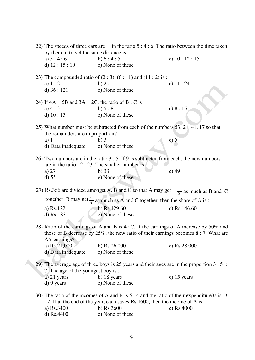|                                   | 22) The speeds of three cars are in the ratio $5:4:6$ . The ratio between the time taken                                                                                               |                                                                              |                                                                                            |  |  |
|-----------------------------------|----------------------------------------------------------------------------------------------------------------------------------------------------------------------------------------|------------------------------------------------------------------------------|--------------------------------------------------------------------------------------------|--|--|
|                                   | by them to travel the same distance is :                                                                                                                                               |                                                                              |                                                                                            |  |  |
|                                   | a) $5:4:6$                                                                                                                                                                             | b) $6:4:5$                                                                   | c) $10:12:15$                                                                              |  |  |
|                                   | d) $12:15:10$                                                                                                                                                                          | e) None of these                                                             |                                                                                            |  |  |
|                                   |                                                                                                                                                                                        | 23) The compounded ratio of $(2:3)$ , $(6:11)$ and $(11:2)$ is :             |                                                                                            |  |  |
|                                   | a) $1:2$                                                                                                                                                                               | b) $2:1$                                                                     | c) $11:24$                                                                                 |  |  |
|                                   | d) $36:121$                                                                                                                                                                            | e) None of these                                                             |                                                                                            |  |  |
|                                   | 24) If $4A = 5B$ and $3A = 2C$ , the ratio of B : C is :                                                                                                                               |                                                                              |                                                                                            |  |  |
|                                   | a) $4:3$                                                                                                                                                                               | b) $5:8$                                                                     | c) $8:15$                                                                                  |  |  |
|                                   | d) $10:15$                                                                                                                                                                             | e) None of these                                                             |                                                                                            |  |  |
|                                   | 25) What number must be subtracted from each of the numbers 53, 21, 41, 17 so that                                                                                                     |                                                                              |                                                                                            |  |  |
| the remainders are in proportion? |                                                                                                                                                                                        |                                                                              |                                                                                            |  |  |
|                                   | a) 1                                                                                                                                                                                   | $b)$ 3                                                                       | c) $5$                                                                                     |  |  |
|                                   | d) Data inadequate                                                                                                                                                                     | e) None of these                                                             |                                                                                            |  |  |
|                                   | 26) Two numbers are in the ratio $3:5$ . If 9 is subtracted from each, the new numbers                                                                                                 |                                                                              |                                                                                            |  |  |
|                                   |                                                                                                                                                                                        | are in the ratio $12:23$ . The smaller number is:                            |                                                                                            |  |  |
|                                   |                                                                                                                                                                                        | $b)$ 33                                                                      | $c)$ 49                                                                                    |  |  |
|                                   | a) $27$                                                                                                                                                                                | e) None of these                                                             |                                                                                            |  |  |
|                                   | d) 55                                                                                                                                                                                  |                                                                              |                                                                                            |  |  |
|                                   | 27) Rs.366 are divided amongst A, B and C so that A may get $\frac{1}{2}$ as much as B and C<br>together, B may get $\frac{2}{3}$ as much as A and C together, then the share of A is: |                                                                              |                                                                                            |  |  |
|                                   |                                                                                                                                                                                        |                                                                              |                                                                                            |  |  |
|                                   | a) Rs.122                                                                                                                                                                              | b) $Rs.129.60$                                                               | c) Rs.146.60                                                                               |  |  |
|                                   | $d)$ Rs.183                                                                                                                                                                            | e) None of these                                                             |                                                                                            |  |  |
|                                   | 28) Ratio of the earnings of A and B is 4 : 7. If the earnings of A increase by 50% and                                                                                                |                                                                              |                                                                                            |  |  |
|                                   | those of B decrease by $25\%$ , the new ratio of their earnings becomes $8:7$ . What are                                                                                               |                                                                              |                                                                                            |  |  |
|                                   | A's earnings?                                                                                                                                                                          |                                                                              |                                                                                            |  |  |
|                                   | a) Rs.21,000                                                                                                                                                                           | b) Rs.26,000                                                                 | c) Rs.28,000                                                                               |  |  |
|                                   | d) Data inadequate                                                                                                                                                                     | e) None of these                                                             |                                                                                            |  |  |
|                                   |                                                                                                                                                                                        |                                                                              | 29) The average age of three boys is 25 years and their ages are in the proportion $3:5:$  |  |  |
|                                   | 7. The age of the youngest boy is:                                                                                                                                                     |                                                                              |                                                                                            |  |  |
|                                   | a) 21 years                                                                                                                                                                            | b) 18 years                                                                  | c) $15$ years                                                                              |  |  |
|                                   | d) 9 years                                                                                                                                                                             | e) None of these                                                             |                                                                                            |  |  |
|                                   |                                                                                                                                                                                        |                                                                              | 30) The ratio of the incomes of A and B is $5:4$ and the ratio of their expenditure3s is 3 |  |  |
|                                   |                                                                                                                                                                                        | : 2. If at the end of the year, each saves Rs.1600, then the income of A is: |                                                                                            |  |  |
|                                   | a) Rs.3400                                                                                                                                                                             | b) Rs.3600                                                                   | c) Rs.4000                                                                                 |  |  |
|                                   | d) Rs.4400                                                                                                                                                                             | e) None of these                                                             |                                                                                            |  |  |
|                                   |                                                                                                                                                                                        |                                                                              |                                                                                            |  |  |
|                                   |                                                                                                                                                                                        |                                                                              |                                                                                            |  |  |
|                                   |                                                                                                                                                                                        | 54                                                                           |                                                                                            |  |  |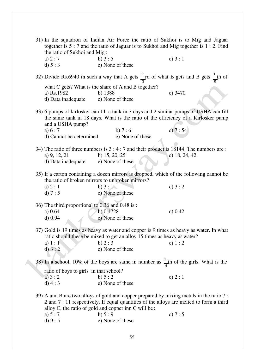|                                                                                                                                                                                                  | 31) In the squadron of Indian Air Force the ratio of Sukhoi is to Mig and Jaguar<br>together is 5 : 7 and the ratio of Jaguar is to Sukhoi and Mig together is 1 : 2. Find<br>the ratio of Sukhoi and Mig:                                   |                                                                                                             |                 |  |
|--------------------------------------------------------------------------------------------------------------------------------------------------------------------------------------------------|----------------------------------------------------------------------------------------------------------------------------------------------------------------------------------------------------------------------------------------------|-------------------------------------------------------------------------------------------------------------|-----------------|--|
|                                                                                                                                                                                                  | a) $2:7$                                                                                                                                                                                                                                     | b) $3:5$                                                                                                    | c) $3:1$        |  |
|                                                                                                                                                                                                  | d) $5:3$                                                                                                                                                                                                                                     | e) None of these                                                                                            |                 |  |
|                                                                                                                                                                                                  |                                                                                                                                                                                                                                              |                                                                                                             |                 |  |
|                                                                                                                                                                                                  |                                                                                                                                                                                                                                              | 32) Divide Rs.6940 in such a way that A gets $\frac{2}{3}$ rd of what B gets and B gets $\frac{3}{5}$ th of |                 |  |
|                                                                                                                                                                                                  | what C gets? What is the share of A and B together?                                                                                                                                                                                          |                                                                                                             |                 |  |
|                                                                                                                                                                                                  | a) Rs.1982                                                                                                                                                                                                                                   | b) 1388                                                                                                     | c) $3470$       |  |
|                                                                                                                                                                                                  | d) Data inadequate                                                                                                                                                                                                                           | e) None of these                                                                                            |                 |  |
| 33) 6 pumps of kirlosker can fill a tank in 7 days and 2 similar pumps of USHA can fill<br>the same tank in 18 days. What is the ratio of the efficiency of a Kirlosker pump<br>and a USHA pump? |                                                                                                                                                                                                                                              |                                                                                                             |                 |  |
|                                                                                                                                                                                                  | a) $6:7$                                                                                                                                                                                                                                     | b) $7:6$                                                                                                    | c) $7:54$       |  |
|                                                                                                                                                                                                  | d) Cannot be determined                                                                                                                                                                                                                      | e) None of these                                                                                            |                 |  |
|                                                                                                                                                                                                  |                                                                                                                                                                                                                                              |                                                                                                             |                 |  |
|                                                                                                                                                                                                  |                                                                                                                                                                                                                                              | 34) The ratio of three numbers is $3:4:7$ and their product is 18144. The numbers are:                      |                 |  |
|                                                                                                                                                                                                  | a) 9, 12, 21                                                                                                                                                                                                                                 | b) $15, 20, 25$                                                                                             | c) $18, 24, 42$ |  |
|                                                                                                                                                                                                  | d) Data inadequate                                                                                                                                                                                                                           | e) None of these                                                                                            |                 |  |
|                                                                                                                                                                                                  |                                                                                                                                                                                                                                              |                                                                                                             |                 |  |
|                                                                                                                                                                                                  | 35) If a carton containing a dozen mirrors is dropped, which of the following cannot be<br>the ratio of broken mirrors to unbroken mirrors?                                                                                                  |                                                                                                             |                 |  |
|                                                                                                                                                                                                  | a) $2:1$                                                                                                                                                                                                                                     | b) $3:1$                                                                                                    | c) $3:2$        |  |
|                                                                                                                                                                                                  | d) $7:5$                                                                                                                                                                                                                                     | e) None of these                                                                                            |                 |  |
|                                                                                                                                                                                                  |                                                                                                                                                                                                                                              | 36) The third proportional to 0.36 and 0.48 is:                                                             |                 |  |
|                                                                                                                                                                                                  | a) 0.64                                                                                                                                                                                                                                      | $b)$ 0.1728                                                                                                 | c) $0.42$       |  |
|                                                                                                                                                                                                  |                                                                                                                                                                                                                                              | e) None of these                                                                                            |                 |  |
|                                                                                                                                                                                                  | $d)$ 0.94                                                                                                                                                                                                                                    |                                                                                                             |                 |  |
|                                                                                                                                                                                                  |                                                                                                                                                                                                                                              | 37) Gold is 19 times as heavy as water and copper is 9 times as heavy as water. In what                     |                 |  |
|                                                                                                                                                                                                  |                                                                                                                                                                                                                                              | ratio should these be mixed to get an alloy 15 times as heavy as water?                                     |                 |  |
|                                                                                                                                                                                                  |                                                                                                                                                                                                                                              | b) $2:3$                                                                                                    | c) $1:2$        |  |
|                                                                                                                                                                                                  | a) $1:1$                                                                                                                                                                                                                                     |                                                                                                             |                 |  |
|                                                                                                                                                                                                  | d) 3:2                                                                                                                                                                                                                                       | e) None of these                                                                                            |                 |  |
|                                                                                                                                                                                                  | 38) In a school, 10% of the boys are same in number as $\frac{1}{4}$ th of the girls. What is the                                                                                                                                            |                                                                                                             |                 |  |
|                                                                                                                                                                                                  | ratio of boys to girls in that school?                                                                                                                                                                                                       |                                                                                                             |                 |  |
|                                                                                                                                                                                                  | a) $3:2$                                                                                                                                                                                                                                     | b) $5:2$                                                                                                    | c) $2:1$        |  |
|                                                                                                                                                                                                  | $d)$ 4 : 3                                                                                                                                                                                                                                   | e) None of these                                                                                            |                 |  |
|                                                                                                                                                                                                  | 39) A and B are two alloys of gold and copper prepared by mixing metals in the ratio 7 :<br>2 and 7 : 11 respectively. If equal quantities of the alloys are melted to form a third<br>alloy C, the ratio of gold and copper inn C will be : |                                                                                                             |                 |  |
|                                                                                                                                                                                                  | a) $5:7$                                                                                                                                                                                                                                     | b) $5:9$                                                                                                    | c) $7:5$        |  |
|                                                                                                                                                                                                  | d) 9:5                                                                                                                                                                                                                                       | e) None of these                                                                                            |                 |  |
|                                                                                                                                                                                                  |                                                                                                                                                                                                                                              |                                                                                                             |                 |  |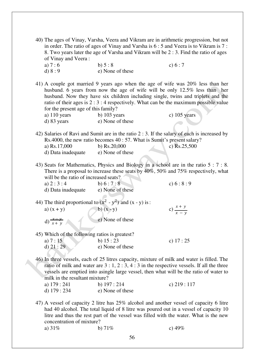40) The ages of Vinay, Varsha, Veera and Vikram are in arithmetic progression, but not in order. The ratio of ages of Vinay and Varsha is 6 : 5 and Veera is to Vikram is 7 : 8. Two years later the age of Varsha and Vikram will be 2 : 3. Find the ratio of ages of Vinay and Veera : a)  $7 : 6$  b)  $5 : 8$  c)  $6 : 7$ d)  $8:9$  e) None of these 41) A couple got married 9 years ago when the age of wife was 20% less than her husband. 6 years from now the age of wife will be only 12.5% less than her husband. Now they have six children including single, twins and triplets and the ratio of their ages is 2 : 3 : 4 respectively. What can be the maximum possible value for the present age of this family? a)  $110$  years b)  $103$  years c)  $105$  years d) 83 years e) None of these 42) Salaries of Ravi and Sumit are in the ratio 2 : 3. If the salary of each is increased by Rs.4000, the new ratio becomes 40 : 57. What is Sumit's present salary? a) Rs.17,000 b) Rs.20,000 c) Rs.25,500 d) Data inadequate e) None of these 43) Seats for Mathematics, Physics and Biology in a school are in the ratio 5 : 7 : 8. There is a proposal to increase these seats by  $40\%$ , 50% and 75% respectively, what will be the ratio of increased seats? a)  $2:3:4$  b)  $6:7:8$  c)  $6:8:9$ d) Data inadequate e) None of these 44) The third proportional to  $(x^2 - y^2)$  and  $(x - y)$  is : a)  $(x + y)$  b)  $(x - y)$  c)  $\frac{x + y}{x - y}$  $f(x) = \frac{x-y}{x+y}$ e) None of these 45) Which of the following ratios is greatest? a)  $7: 15$  b)  $15: 23$  c)  $17: 25$ d)  $21:29$  e) None of these 46) In three vessels, each of 25 litres capacity, mixture of milk and water is filled. The ratio of milk and water are  $3:1, 2:3, 4:3$  in the respective vessels. If all the three vessels are emptied into asingle large vessel, then what will be the ratio of water to milk in the resultant mixture? a) 179 : 241 b) 197 : 214 c) 219 : 117 d) 179 : 234 e) None of these 47) A vessel of capacity 2 litre has 25% alcohol and another vessel of capacity 6 litre had 40 alcohol. The total liquid of 8 litre was poured out in a vessel of capacity 10 litre and thus the rest part of the vessel was filled with the water. What is the new concentration of mixture? a)  $31\%$  b)  $71\%$  c)  $49\%$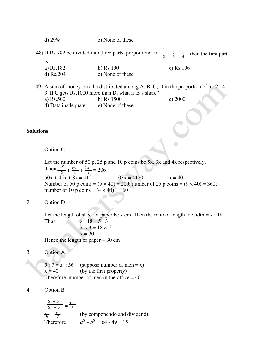d) 29% e) None of these

48) If Rs.782 be divided into three parts, proportional to  $\frac{1}{2}$ :  $\frac{2}{3}$ :  $\frac{3}{4}$ , then the first part is :

- a) Rs.182 b) Rs.190 c) Rs.196
- d) Rs.204 e) None of these
- 49) A sum of money is to be distributed among A, B, C, D in the proportion of  $5:2:4:$ 3. If C gets Rs.1000 more than D, what is B's share?
	- a) Rs.500 b) Rs.1500 c) 2000
	- d) Data inadequate e) None of these

#### **Solutions:**

1. Option C

Let the number of 50 p, 25 p and 10 p coins be 5x, 9x and 4x respectively. Then,  $\frac{5x}{2} + \frac{9x}{4}$  $\frac{x}{4} + \frac{4x}{10}$  $\frac{44}{10}$  = 206  $50x + 45x + 8x = 4120$   $103x = 4120$   $x = 40$ Number of 50 p coins =  $(5 \times 40) = 200$ ; number of 25 p coins =  $(9 \times 40) = 360$ ; number of 10 p coins =  $(4 \times 40)$  = 160

2. Option D

Let the length of sheet of paper be x cm. Then the ratio of length to width  $= x : 18$ Thus,  $x : 18 = 5 : 3$ 

 $x \times 3 = 18 \times 5$  $x = 30$ Hence the length of paper  $= 30$  cm

3. Option A

 $5:7 = x : 56$  (suppose number of men = x)  $x = 40$  (by the first property) Therefore, number of men in the office  $= 40$ 

## 4. Option B

 $\frac{(a+b)}{(a-b)} = \frac{15}{1}$  $\frac{a}{b} = \frac{8}{7}$  (by componendo and dividend) Therefore  $2 - b^2 = 64 - 49 = 15$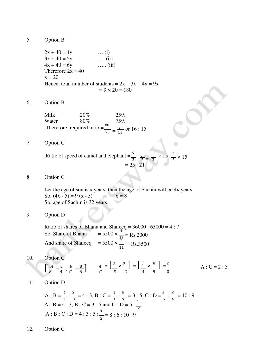5. Option B

 $2x + 40 = 4y$  … (i)  $3x + 40 = 5y$  …. (ii)  $4x + 40 = 6y$  ….. (iii) Therefore  $2x = 40$  $x = 20$ Hence, total number of students =  $2x + 3x + 4x = 9x$  $= 9 \times 20 = 180$ 

6. Option B

Milk 20% 25%<br>Water 80% 75% Water  $80\%$  75% Therefore, required ratio  $=$  $\frac{80}{75}$   $=$   $\frac{16}{15}$  $\frac{16}{15}$  or  $16:15$ 

7. Option C

Ratio of speed of camel and elephant =  $\frac{5}{3}$  :  $\frac{7}{5}$  =  $\frac{5}{3} \times 15$  :  $\frac{7}{5} \times 15$  $= 25 : 21$ 

8. Option C

Let the age of son is x years, then the age of Sachin will be 4x years. So,  $(4x - 5) = 9(x - 5)$   $x = 8$ So, age of Sachin is 32 years.

9. Option D

Ratio of shares of Bhanu and Shafeeq =  $36000 : 63000 = 4 : 7$ So, Share of Bhanu  $\frac{1}{11}$  = Rs.2000 And share of Shafeeq  $\frac{1}{11}$  = Rs.3500

- 10. Option C  $\left[\begin{array}{ccc} A & B & B \\ B & 4 \end{array}, \begin{array}{c} B & B \\ C & 9 \end{array}\right]$   $A = \left[\begin{array}{ccc} A & B \\ B & C \end{array}\right] = \left[\begin{array}{ccc} 3 & 8 \\ 4 & 9 \end{array}\right] = \frac{2}{3}$  $A: C = 2:3$  $B = 4 \cdot C = 9$   $C = 8 \cdot C = 4 \cdot 9 = 3$
- 11. Option D

A : B = 
$$
\frac{1}{2}
$$
 :  $\frac{3}{8}$  = 4 : 3, B : C =  $\frac{1}{3}$  :  $\frac{5}{9}$  = 3 : 5, C : D =  $\frac{5}{6}$  :  $\frac{3}{4}$  = 10 : 9  
A : B = 4 : 3, B : C = 3 : 5 and C : D = 5 :  $\frac{9}{2}$   
A : B : C : D = 4 : 3 : 5 :  $\frac{9}{2}$  = 8 : 6 : 10 : 9

12. Option C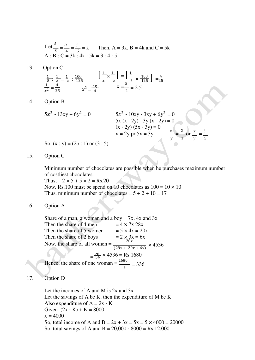Let 
$$
\frac{A}{3} = \frac{B}{4} = \frac{C}{5} = k
$$
 Then, A = 3k, B = 4k and C = 5k  
A : B : C = 3k : 4k : 5k = 3 : 4 : 5

13. Option C

$$
\frac{1}{5} : \frac{1}{x} = \frac{1}{x} : \frac{100}{125} \qquad \left[\frac{1}{x} \times \frac{1}{x}\right] = \left[\frac{1}{5} \times \frac{100}{125}\right] = \frac{4}{25}
$$
  

$$
\frac{1}{x^2} = \frac{4}{25} \qquad x^2 = \frac{25}{4} \qquad x = \frac{5}{2} = 2.5
$$

14. Option B

$$
5x2 - 13xy + 6y2 = 0
$$
  
\n
$$
5x(x - 2y) - 3y(x - 2y) = 0
$$
  
\n
$$
(x - 2y)(5x - 3y) = 0
$$
  
\n
$$
x = 2y \text{ pr } 5x = 3y
$$
  
\n
$$
x = \frac{2}{y} \text{ or } \frac{x}{y} = \frac{3}{5}
$$

So,  $(x : y) = (2b : 1)$  or  $(3 : 5)$ 

15. Option C

Minimum number of chocolates are possible when he purchases maximum number of costliest chocolates.

Thus,  $2 \times 5 + 5 \times 2 = \text{Rs.20}$ Now, Rs.100 must be spend on 10 chocolates as  $100 = 10 \times 10$ Thus, minimum number of chocolates =  $5 + 2 + 10 = 17$ 

16. Option A

Share of a man, a woman and a boy  $= 7x$ , 4x and 3x Then the share of 4 men  $= 4 \times 7x$  28x Then the share of 5 women  $= 5 \times 4x = 20x$ <br>Then the share of 2 boys  $= 2 \times 3x = 6x$ <br>Now the share of all women  $= 20x$ Then the share of 2 boys Now, the share of all women =  $\frac{20x}{\sqrt{2}}$  $\frac{1}{(28x + 20x + 6x)} \times 4536$  $=\frac{20}{54} \times 4536 = \text{Rs}.1680$ Hence, the share of one woman =  $\frac{1680}{5}$  = 336

17. Option D

Let the incomes of A and M is 2x and 3x Let the savings of A be K, then the expenditure of M be K Also expenditure of  $A = 2x - K$ Given  $(2x - K) + K = 8000$  $x = 4000$ So, total income of A and  $B = 2x + 3x = 5x = 5 \times 4000 = 20000$ So, total savings of A and B =  $20,000 - 8000 = \text{Rs}.12,000$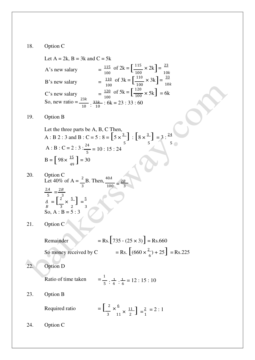#### 18. Option C

 $\frac{115}{100}$  of 2k =  $\left[\frac{115}{100} \times 2k\right]$  =  $\frac{110}{100}$  of 3k =  $\left[\frac{110}{100} \times 3k\right]$  =  $\frac{120}{100}$  of 5k =  $\left[\frac{1}{100}\right]$ Let  $A = 2k$ ,  $B = 3k$  and  $C = 5k$ A's new salary B's new salary 100 C's new salary of  $2k = \left[\frac{115}{100} \times 2k\right] = \frac{23}{100}$ of  $3k = \left[\frac{110}{100} \times 3k\right] = \frac{33}{100}$ of  $5k = \left[\frac{120}{100} \times 5k\right] = 6k$  $10k$  $10k$ So, new ratio =  $\frac{23k}{10}$  :  $\frac{33k}{10}$  : 6k = 23 : 33 : 60 19. Option B

Let the three parts be A, B, C Then,  
\nA : B 2 : 3 and B : C = 5 : 8 = 
$$
\left[5 \times \frac{3}{5}\right]
$$
 :  $\left[8 \times \frac{3}{5}\right]$  = 3 :  $\frac{24}{5}$   
\nA : B : C = 2 : 3 :  $\frac{24}{5}$  = 10 : 15 : 24  
\nB =  $\left[98 \times \frac{15}{49}\right]$  = 30

- 20. Option C<br>Let 40% of A =  $\frac{2}{3}$ B. Then,  $\frac{40A}{100} = \frac{2B}{3}$  $2A$ 5  $\overline{A}$  $=\frac{2B}{2}$  $=\left[\frac{2}{3}\times\frac{5}{3}\right]=\frac{5}{3}$ 3 100 3  $B$  3 2 3 So, A :  $B = 5 : 3$
- 21. Option  $C^{\prime}$

Remainder

\n
$$
= \text{Rs.} \left[ 735 \cdot (25 \times 3) \right] = \text{Rs.} 660
$$
\nSo money received by C

\n
$$
= \text{Rs.} \left[ (660 \times \frac{2}{6}) + 25 \right] = \text{Rs.} 225
$$

22. Option D

Ratio of time taken 
$$
=\frac{1}{5} : \frac{1}{4} : \frac{1}{6} = 12 : 15 : 10
$$

23. Option B

Required ratio  $\times \frac{6}{5}$  $\times \frac{11}{2}$  =  $\frac{2}{1}$  = 2 : 1 3 11  $\degree$  2 J  $\degree$  1

24. Option C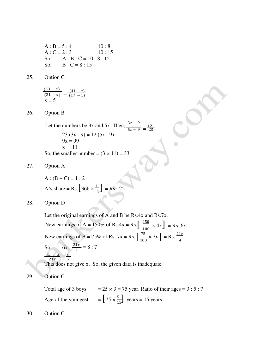$A : B = 5 : 4$  10 : 8  $A: C = 2:3$  10:15 So,  $A : B : C = 10 : 8 : 15$ So,  $B : C = 8 : 15$ 

25. Option C

$$
\frac{(53-x)}{(21-x)} = \frac{(41-x)}{(17-x)}
$$
  
x = 5

26. Option B

Let the numbers be 3x and 5x. Then,  $\frac{3x-9}{5x-9} = \frac{12}{23}$  $23 (3x - 9) = 12 (5x - 9)$  $9x = 99$  $x = 11$ So, the smaller number =  $(3 \times 11) = 33$ 

27. Option A

A's share = Rs.  $[366 \times \frac{1}{3}]$  = Rs.122  $A: (B + C) = 1:2$ 

28. Option D

New earnings of A = 150% of Rs.4x = Rs.  $\left[\begin{array}{c} 150 \\ 100 \end{array} \right]$  = Rs. 6x New earnings of B = 75% of Rs. 7x = Rs.  $\left[\frac{75}{100} \times 7x\right]$  = Rs.  $\frac{21x}{4}$ Let the original earnings of A and B be Rs.4x and Rs.7x. So,  $6x : \frac{21x}{4} = 8 : 7$  $21x$  $=$  $\frac{8}{7}$  $21x = 7$ This does not give x. So, the given data is inadequate.

29. Option C

 $=\left[75 \times \frac{3}{15}\right]$  years = 15 years Total age of 3 boys Age of the youngest  $= 25 \times 3 = 75$  year. Ratio of their ages  $= 3 : 5 : 7$ 

30. Option C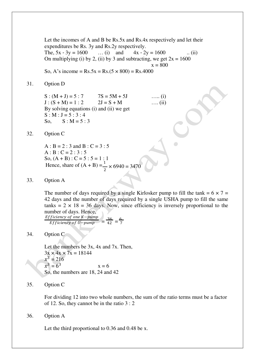Let the incomes of A and B be Rs.5x and Rs.4x respectively and let their expenditures be Rs. 3y and Rs.2y respectively. The,  $5x - 3y = 1600$  ... (i) and  $4x - 2y = 1600$  ... (ii) On multiplying (i) by 2, (ii) by 3 and subtracting, we get  $2x = 1600$  $x = 800$ 

So, A's income =  $Rs.5x = Rs.(5 \times 800) = Rs.4000$ 

#### 31. Option D

 $S : (M + J) = 5 : 7$   $7S = 5M + 5J$  …... (i)  $J: (S + M) = 1:2$   $2J = S + M$  …. (ii) By solving equations (i) and (ii) we get  $S : M : J = 5 : 3 : 4$ So,  $S : M = 5 : 3$ 

#### 32. Option C

 $A : B = 2 : 3$  and  $B : C = 3 : 5$  $A : B : C = 2 : 3 : 5$ So,  $(A + B)$ : C = 5 : 5 = 1 : 1 Hence, share of  $(A + B) = \frac{1}{2} \times 6940 = 3470$ 

#### 33. Option A

The number of days required by a single Kirlosker pump to fill the tank =  $6 \times 7 =$ 42 days and the number of days required by a single USHA pump to fill the same tanks =  $2 \times 18 = 36$  days. Now, since efficiency is inversely proportional to the number of days. Hence,

*Efficiency of one K–pump* 
$$
=
$$
  $\frac{36}{42} = \frac{6}{7}$ 

## 34. Option C

Let the numbers be 3x, 4x and 7x. Then,  $3x \times 4x \times 7x = 18144$  $x^3 = 216$  $x^3 = 6$  $x = 6$ So, the numbers are 18, 24 and 42

## 35. Option C

For dividing 12 into two whole numbers, the sum of the ratio terms must be a factor of 12. So, they cannot be in the ratio 3 : 2

36. Option A

Let the third proportional to 0.36 and 0.48 be x.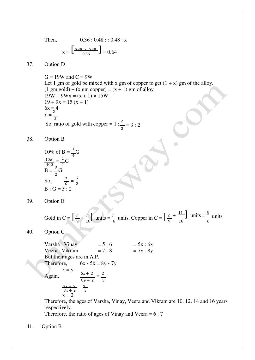Then,  $0.36 : 0.48 : 0.48 : x$ 

$$
x = \begin{bmatrix} 0.48 \times 0.48 \\ 0.36 \end{bmatrix} = 0.64
$$

## 37. Option D

 $G = 19W$  and  $C = 9W$ Let 1 gm of gold be mixed with x gm of copper to get  $(1 + x)$  gm of the alloy.  $(1 \text{ gm gold}) + (x \text{ gm copper}) = (x + 1) \text{ gm of alloy}$  $19W + 9Wx = (x + 1) \times 15W$  $19 + 9x = 15(x + 1)$  $6x = 4$  $x = \frac{2}{3}$ So, ratio of gold with copper =  $1: \frac{2}{3} = 3:2$ 

38. Option B

10% of B = 
$$
\frac{1}{4}
$$
G  
\n $\frac{10B}{100} = \frac{1}{4}$ G  
\nB =  $\frac{5}{2}$ G  
\nSo,  $\frac{B}{G} = \frac{5}{2}$   
\nB: G = 5:2

39. Option E

 $+\frac{11}{\sqrt{2}}$  units  $=\frac{5}{\sqrt{2}}$  units Gold in C =  $\left[\frac{7}{9} + \frac{7}{18}\right]$  units =  $\frac{7}{6}$  units. Copper in C =  $\left[\frac{2}{9} + \frac{11}{18}\right]$  units =  $\frac{3}{6}$ 

40. Option C

But their ages are in A.P. Therefore,  $6x - 5x = 8y - 7y$  $x = y$ Again,  $\frac{5x+2}{1} = \frac{2}{3}$  $8y + 2$  3  $\frac{5x+2}{8x+2} = \frac{2}{3}$  $x = 2$ Varsha : Vinay Veera : Vikram  $= 5 : 6$  $= 7 : 8$  $= 5x : 6x$  $= 7y : 8y$ 

Therefore, the ages of Varsha, Vinay, Veera and Vikram are 10, 12, 14 and 16 years respectively.

Therefore, the ratio of ages of Vinay and Veera  $= 6:7$ 

41. Option B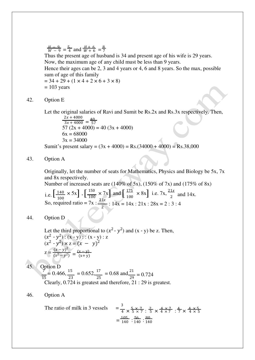$\frac{H-9}{W-9} = \frac{5}{4}$  and  $\frac{H+6}{W+6} = \frac{8}{7}$ 

Thus the present age of husband is 34 and present age of his wife is 29 years. Now, the maximum age of any child must be less than 9 years.

Hence their ages can be 2, 3 and 4 years or 4, 6 and 8 years. So the max, possible sum of age of this family

 $= 34 + 29 + (1 \times 4 + 2 \times 6 + 3 \times 8)$  $= 103$  years

#### 42. Option E

Let the original salaries of Ravi and Sumit be Rs.2x and Rs.3x respectively. Then,

 $2x + 4000$  $\frac{2x + 4000}{3x + 4000} = \frac{40}{57}$ 57  $(2x + 4000) = 40 (3x + 4000)$  $6x = 68000$  $3x = 34000$ 

Sumit's present salary =  $(3x + 4000)$  = Rs.(34000 + 4000) = Rs.38,000

# 43. Option A

Originally, let the number of seats for Mathematics, Physics and Biology be 5x, 7x and 8x respectively.

Number of increased seats are  $(140\% \text{ of } 5x)$ ,  $(150\% \text{ of } 7x)$  and  $(175\% \text{ of } 8x)$ 

i.e. 
$$
\left[\frac{140}{100} \times 5x\right]
$$
,  $\left[\frac{150}{100} \times 7x\right]$  and  $\left[\frac{175}{100} \times 8x\right]$  i.e.  $7x$ ,  $\frac{21x}{2}$  and  $14x$ .  
So, required ratio =  $7x$ :  $\frac{21x}{2}$ :  $14x = 14x$ :  $21x$ :  $28x = 2$ :  $3:4$ 

44. Option D

Let the third proportional to  $(x^2 - y^2)$  and  $(x - y)$  be z. Then,  $(x^2 - y^2) : (x - y) : (x - y) : z$  $(x^2 - y^2) \times z = (x - y)^2$  $(x - y)^2$  $Z = \frac{(x - y)}{(x^2 - y^2)} = \frac{(x - y)}{(x + y)}$ 

45. Option D  $\frac{7}{15}$  = 0.466,  $\frac{15}{23}$  = 0.652,  $\frac{17}{25}$  = 0.68 and  $\frac{21}{29}$  = 0.724 Clearly, 0.724 is greatest and therefore, 21 : 29 is greatest.

46. Option A

The ratio of milk in 3 vessels 
$$
= \frac{3}{4} \times \frac{5 \times 7}{5 \times 7} : \frac{2}{5} \times \frac{4 \times 7}{4 \times 7} : \frac{4}{7} \times \frac{4 \times 5}{4 \times 5}
$$

$$
= \frac{105}{140} : \frac{56}{140} : \frac{80}{140}
$$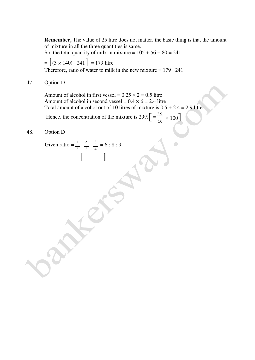**Remember,** The value of 25 litre does not matter, the basic thing is that the amount of mixture in all the three quantities is same.

So, the total quantity of milk in mixture =  $105 + 56 + 80 = 241$ 

 $=[(3 \times 140) - 241] = 179$  litre Therefore, ratio of water to milk in the new mixture  $= 179 : 241$ 

# 47. Option D

Amount of alcohol in first vessel =  $0.25 \times 2 = 0.5$  litre Amount of alcohol in second vessel =  $0.4 \times 6 = 2.4$  litre Total amount of alcohol out of 10 litres of mixture is  $0.5 + 2.4 = 2.9$  litre

Hence, the concentration of the mixture is  $29\%$   $\left[ = \frac{2.9}{10} \times 100 \right]$ 

# 48. Option D

 $[\ ]$ Given ratio =  $\frac{1}{2}$  :  $\frac{2}{3}$  $\frac{1}{2}$  :  $\frac{2}{3}$  :  $\frac{3}{4}$  = 6 : 8 : 9